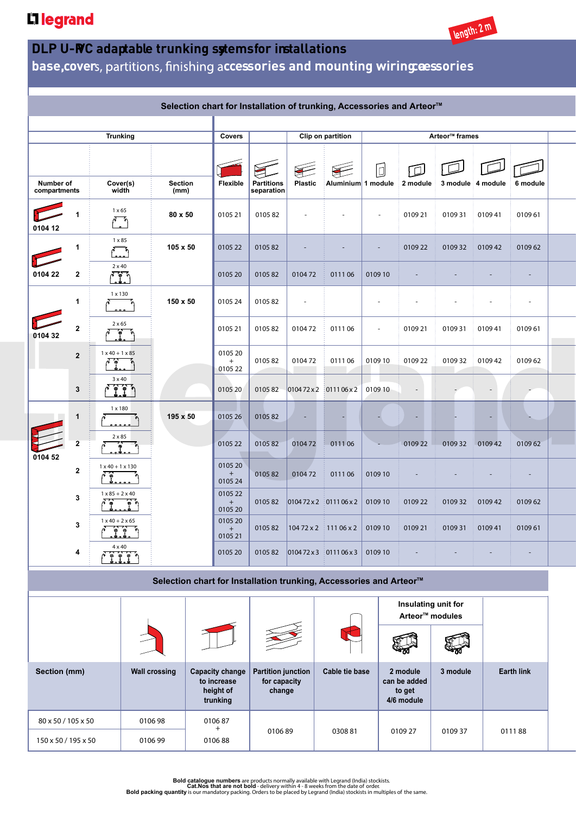## L<sub>legrand</sub>



*Unit Description Pack* **base, cover ccessories and mounting wiring accessories**

|                    |                |                             |                                                                                            |                 |                                                                |                                                        |                                                     |                            | Selection chart for Installation of trunking, Accessories and Arteor™ |                          |                                                    |               |                               |                   |                          |
|--------------------|----------------|-----------------------------|--------------------------------------------------------------------------------------------|-----------------|----------------------------------------------------------------|--------------------------------------------------------|-----------------------------------------------------|----------------------------|-----------------------------------------------------------------------|--------------------------|----------------------------------------------------|---------------|-------------------------------|-------------------|--------------------------|
| <b>Trunking</b>    |                |                             |                                                                                            |                 |                                                                | Covers                                                 | Clip on partition                                   | Arteor <sup>™</sup> frames |                                                                       |                          |                                                    |               |                               |                   |                          |
| Number of          |                | Cover(s)                    | <b>Section</b>                                                                             |                 |                                                                | Flexible                                               | <b>Partitions</b>                                   | <b>Plastic</b>             | Aluminium 1 module                                                    |                          | Ō                                                  | 回<br>2 module |                               | 3 module 4 module | 6 module                 |
| compartments       |                | width<br>$1 \times 65$      |                                                                                            | (mm)<br>80 x 50 |                                                                | 0105 21                                                | separation<br>010582                                |                            |                                                                       | $\sim$                   |                                                    | 0109 21       | 010931                        | 010941            | 010961                   |
| 0104 12<br>1       |                | 1 x 85                      |                                                                                            |                 | 105 x 50<br>0105 22                                            |                                                        | 010582                                              |                            |                                                                       |                          |                                                    | 010922        | 010932                        | 010942            | 010962                   |
| 0104 22            | 2              | $2 \times 40$<br>Ŧ          |                                                                                            |                 |                                                                | 0105 20                                                | 010582                                              | 010472                     | 011106                                                                | 0109 10                  |                                                    |               |                               |                   |                          |
| 0104 32<br>0104 52 | 1              | 1 x 130                     |                                                                                            | 150 x 50        |                                                                | 0105 24                                                | 010582                                              | ÷,                         |                                                                       |                          |                                                    |               |                               |                   | $\overline{\phantom{a}}$ |
|                    | $\mathbf 2$    | $2 \times 65$               |                                                                                            |                 |                                                                | 0105 21                                                | 010582                                              | 010472                     | 011106                                                                | $\overline{\phantom{a}}$ |                                                    | 010921        | 010931                        | 010941            | 010961                   |
|                    | $\overline{2}$ | $1 \times 40 + 1 \times 85$ |                                                                                            |                 |                                                                | 0105 20<br>$+$<br>0105 22                              | 010582                                              | 010472                     | 011106                                                                | 0109 10                  |                                                    | 0109 22       | 010932                        | 010942            | 010962                   |
|                    | 3              | $3 \times 40$               |                                                                                            |                 |                                                                | 0105 20                                                | 010582                                              |                            | $010472 \times 2$ 0111 06 x 2                                         | 010910                   |                                                    |               |                               |                   |                          |
|                    | $\mathbf{1}$   | 1 x 180                     |                                                                                            | 195 x 50        |                                                                | 0105 26                                                | 010582                                              |                            |                                                                       |                          |                                                    |               |                               |                   |                          |
|                    | $\mathbf{2}$   | $2 \times 85$               |                                                                                            |                 |                                                                | 0105 22                                                | 010582                                              | 010472                     | 011106                                                                |                          |                                                    | 010922        | 010932                        | 010942            | 010962                   |
|                    | 2              |                             | $1 \times 40 + 1 \times 130$<br>$1 \times 85 + 2 \times 40$<br>$1 \times 40 + 2 \times 65$ |                 |                                                                | 0105 20<br>$+$<br>0105 24                              | 010582                                              | 010472                     | 011106                                                                | 0109 10                  |                                                    |               |                               |                   |                          |
|                    | 3              |                             |                                                                                            |                 |                                                                |                                                        | 010582                                              |                            | $ 010472 \times 2 $ : 0111 06 x 2                                     | 0109 10                  |                                                    | 010922        | 010932                        | 010942            | 010962                   |
|                    | 3              |                             |                                                                                            |                 |                                                                | 0105 20<br>$\begin{array}{c} + \end{array}$<br>0105 21 | 010582                                              |                            | 104 72 x 2 111 06 x 2                                                 | 0109 10                  |                                                    | 0109 21       | 010931                        | 010941            | 010961                   |
| 4                  |                | $4 \times 40$               | $7.7.7$ <sup>1</sup>                                                                       |                 | 0105 20                                                        |                                                        | 010582                                              |                            | $ 010472 \times 3 $ : 0111 06 x 3                                     | 0109 10                  |                                                    |               |                               |                   |                          |
|                    |                |                             |                                                                                            |                 |                                                                |                                                        |                                                     |                            | Selection chart for Installation trunking, Accessories and Arteor™    |                          |                                                    |               |                               |                   |                          |
|                    |                |                             |                                                                                            |                 |                                                                |                                                        |                                                     |                            |                                                                       |                          | Insulating unit for<br>Arteor <sup>™</sup> modules |               |                               |                   |                          |
|                    |                |                             |                                                                                            |                 |                                                                |                                                        |                                                     |                            |                                                                       |                          |                                                    |               |                               |                   |                          |
| Section (mm)       |                |                             | <b>Wall crossing</b>                                                                       |                 | <b>Capacity change</b><br>to increase<br>height of<br>trunking |                                                        | <b>Partition junction</b><br>for capacity<br>change |                            | Cable tie base                                                        |                          | 2 module<br>can be added<br>to get<br>4/6 module   |               | 3 module<br><b>Earth link</b> |                   |                          |
| 80 x 50 / 105 x 50 |                |                             | 010698                                                                                     |                 | 010687                                                         |                                                        |                                                     |                            |                                                                       |                          |                                                    |               |                               |                   |                          |

0106 89 0308 81 0109 27 0109 37 0111 88

**length: 2 m**

Bold catalogue numbers are products normally available with Legrand (India) stockists.<br>Cat.Nos that are not bold - delivery within 4 - 8 weeks from the date of order.<br>Bold packing quantity is our mandatory packing. Orders

+

150 x 50 / 195 x 50 0106 99 0106 88